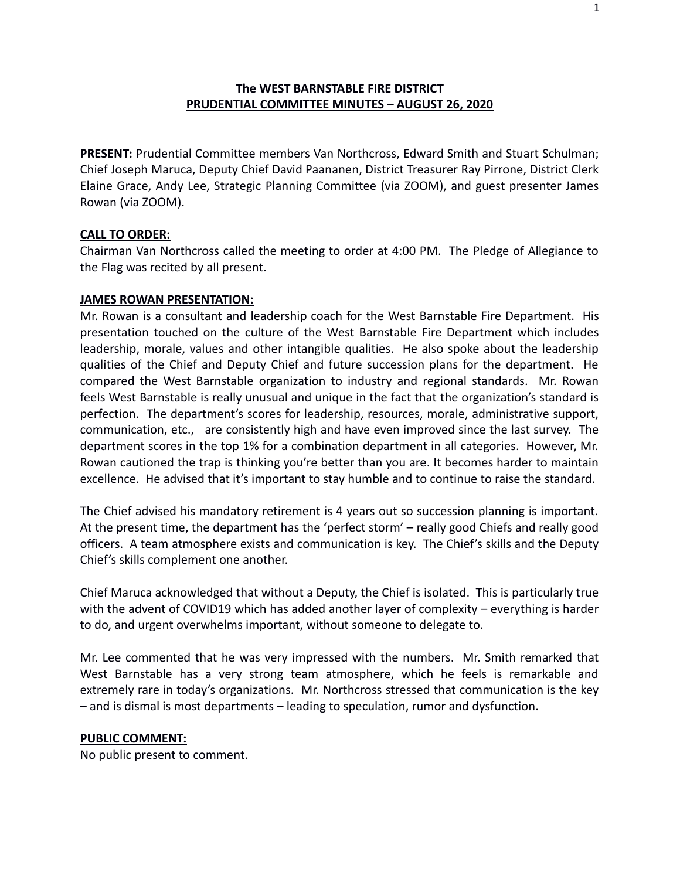## **The WEST BARNSTABLE FIRE DISTRICT PRUDENTIAL COMMITTEE MINUTES – AUGUST 26, 2020**

**PRESENT:** Prudential Committee members Van Northcross, Edward Smith and Stuart Schulman; Chief Joseph Maruca, Deputy Chief David Paananen, District Treasurer Ray Pirrone, District Clerk Elaine Grace, Andy Lee, Strategic Planning Committee (via ZOOM), and guest presenter James Rowan (via ZOOM).

#### **CALL TO ORDER:**

Chairman Van Northcross called the meeting to order at 4:00 PM. The Pledge of Allegiance to the Flag was recited by all present.

#### **JAMES ROWAN PRESENTATION:**

Mr. Rowan is a consultant and leadership coach for the West Barnstable Fire Department. His presentation touched on the culture of the West Barnstable Fire Department which includes leadership, morale, values and other intangible qualities. He also spoke about the leadership qualities of the Chief and Deputy Chief and future succession plans for the department. He compared the West Barnstable organization to industry and regional standards. Mr. Rowan feels West Barnstable is really unusual and unique in the fact that the organization's standard is perfection. The department's scores for leadership, resources, morale, administrative support, communication, etc., are consistently high and have even improved since the last survey. The department scores in the top 1% for a combination department in all categories. However, Mr. Rowan cautioned the trap is thinking you're better than you are. It becomes harder to maintain excellence. He advised that it's important to stay humble and to continue to raise the standard.

The Chief advised his mandatory retirement is 4 years out so succession planning is important. At the present time, the department has the 'perfect storm' – really good Chiefs and really good officers. A team atmosphere exists and communication is key. The Chief's skills and the Deputy Chief's skills complement one another.

Chief Maruca acknowledged that without a Deputy, the Chief is isolated. This is particularly true with the advent of COVID19 which has added another layer of complexity – everything is harder to do, and urgent overwhelms important, without someone to delegate to.

Mr. Lee commented that he was very impressed with the numbers. Mr. Smith remarked that West Barnstable has a very strong team atmosphere, which he feels is remarkable and extremely rare in today's organizations. Mr. Northcross stressed that communication is the key – and is dismal is most departments – leading to speculation, rumor and dysfunction.

#### **PUBLIC COMMENT:**

No public present to comment.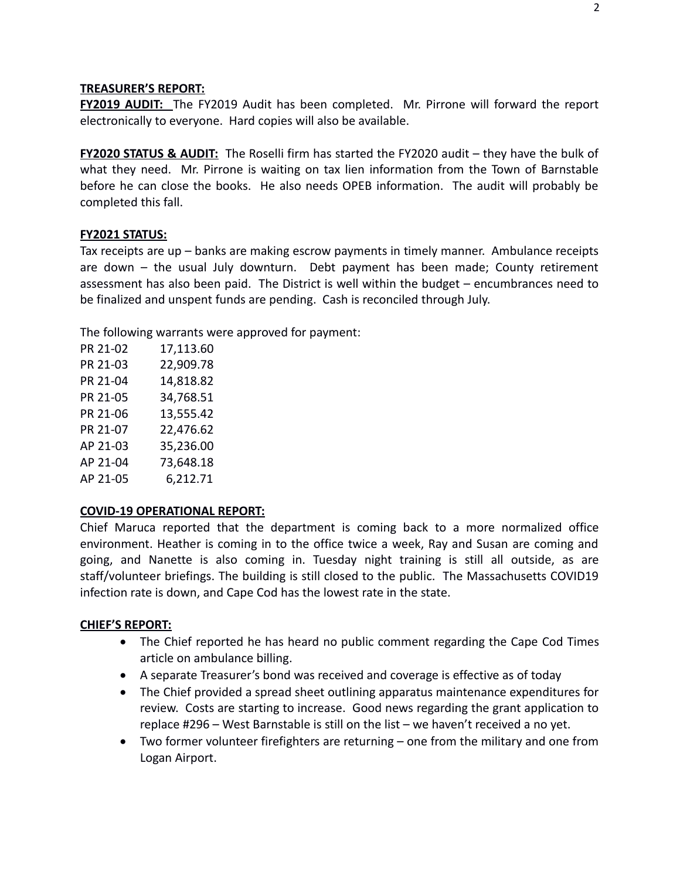#### **TREASURER'S REPORT:**

**FY2019 AUDIT:** The FY2019 Audit has been completed. Mr. Pirrone will forward the report electronically to everyone. Hard copies will also be available.

**FY2020 STATUS & AUDIT:** The Roselli firm has started the FY2020 audit – they have the bulk of what they need. Mr. Pirrone is waiting on tax lien information from the Town of Barnstable before he can close the books. He also needs OPEB information. The audit will probably be completed this fall.

### **FY2021 STATUS:**

Tax receipts are up – banks are making escrow payments in timely manner. Ambulance receipts are down – the usual July downturn. Debt payment has been made; County retirement assessment has also been paid. The District is well within the budget – encumbrances need to be finalized and unspent funds are pending. Cash is reconciled through July.

The following warrants were approved for payment:

| 17,113.60 |
|-----------|
| 22,909.78 |
| 14,818.82 |
| 34,768.51 |
| 13,555.42 |
| 22,476.62 |
| 35,236.00 |
| 73,648.18 |
| 6,212.71  |
|           |

### **COVID-19 OPERATIONAL REPORT:**

Chief Maruca reported that the department is coming back to a more normalized office environment. Heather is coming in to the office twice a week, Ray and Susan are coming and going, and Nanette is also coming in. Tuesday night training is still all outside, as are staff/volunteer briefings. The building is still closed to the public. The Massachusetts COVID19 infection rate is down, and Cape Cod has the lowest rate in the state.

### **CHIEF'S REPORT:**

- The Chief reported he has heard no public comment regarding the Cape Cod Times article on ambulance billing.
- A separate Treasurer's bond was received and coverage is effective as of today
- The Chief provided a spread sheet outlining apparatus maintenance expenditures for review. Costs are starting to increase. Good news regarding the grant application to replace #296 – West Barnstable is still on the list – we haven't received a no yet.
- Two former volunteer firefighters are returning one from the military and one from Logan Airport.